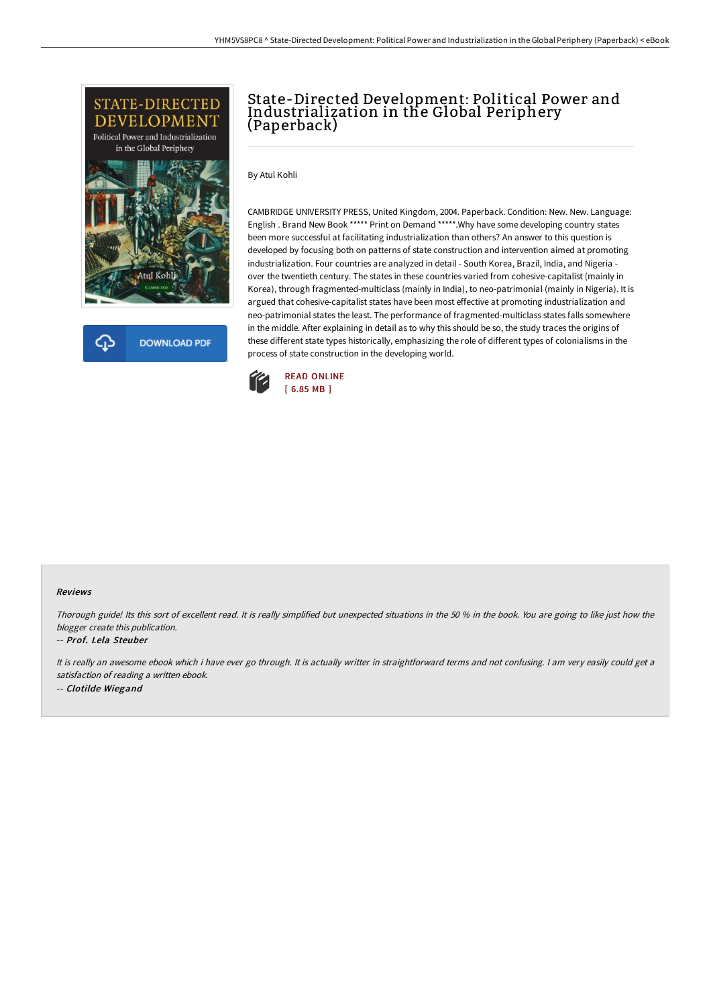

**DOWNLOAD PDF** 

## State-Directed Development: Political Power and Industrialization in the Global Periphery (Paperback)

By Atul Kohli

CAMBRIDGE UNIVERSITY PRESS, United Kingdom, 2004. Paperback. Condition: New. New. Language: English . Brand New Book \*\*\*\*\* Print on Demand \*\*\*\*\*.Why have some developing country states been more successful at facilitating industrialization than others? An answer to this question is developed by focusing both on patterns of state construction and intervention aimed at promoting industrialization. Four countries are analyzed in detail - South Korea, Brazil, India, and Nigeria over the twentieth century. The states in these countries varied from cohesive-capitalist (mainly in Korea), through fragmented-multiclass (mainly in India), to neo-patrimonial (mainly in Nigeria). It is argued that cohesive-capitalist states have been most effective at promoting industrialization and neo-patrimonial states the least. The performance of fragmented-multiclass states falls somewhere in the middle. After explaining in detail as to why this should be so, the study traces the origins of these different state types historically, emphasizing the role of different types of colonialisms in the process of state construction in the developing world.



## Reviews

Thorough guide! Its this sort of excellent read. It is really simplified but unexpected situations in the <sup>50</sup> % in the book. You are going to like just how the blogger create this publication.

## -- Prof. Lela Steuber

It is really an awesome ebook which i have ever go through. It is actually writter in straightforward terms and not confusing. I am very easily could get a satisfaction of reading <sup>a</sup> written ebook. -- Clotilde Wiegand